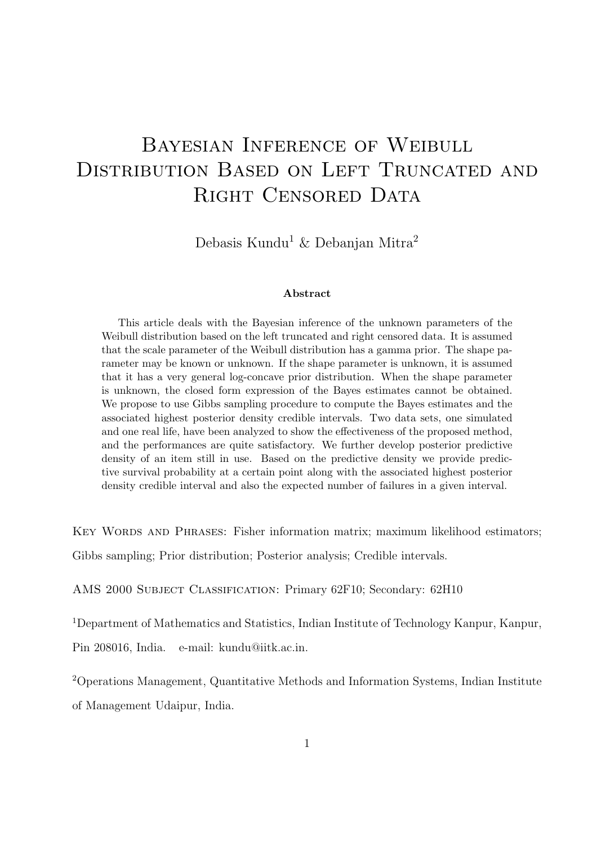# Bayesian Inference of Weibull DISTRIBUTION BASED ON LEFT TRUNCATED AND RIGHT CENSORED DATA

Debasis Kundu<sup>1</sup> & Debanjan Mitra<sup>2</sup>

#### Abstract

This article deals with the Bayesian inference of the unknown parameters of the Weibull distribution based on the left truncated and right censored data. It is assumed that the scale parameter of the Weibull distribution has a gamma prior. The shape parameter may be known or unknown. If the shape parameter is unknown, it is assumed that it has a very general log-concave prior distribution. When the shape parameter is unknown, the closed form expression of the Bayes estimates cannot be obtained. We propose to use Gibbs sampling procedure to compute the Bayes estimates and the associated highest posterior density credible intervals. Two data sets, one simulated and one real life, have been analyzed to show the effectiveness of the proposed method, and the performances are quite satisfactory. We further develop posterior predictive density of an item still in use. Based on the predictive density we provide predictive survival probability at a certain point along with the associated highest posterior density credible interval and also the expected number of failures in a given interval.

KEY WORDS AND PHRASES: Fisher information matrix; maximum likelihood estimators;

Gibbs sampling; Prior distribution; Posterior analysis; Credible intervals.

AMS 2000 Subject Classification: Primary 62F10; Secondary: 62H10

<sup>1</sup>Department of Mathematics and Statistics, Indian Institute of Technology Kanpur, Kanpur, Pin 208016, India. e-mail: kundu@iitk.ac.in.

<sup>2</sup>Operations Management, Quantitative Methods and Information Systems, Indian Institute of Management Udaipur, India.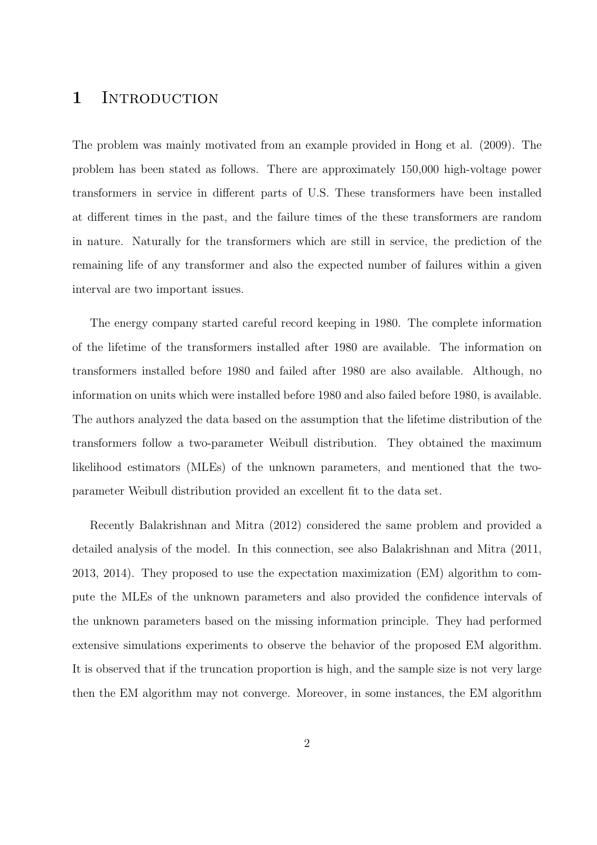### 1 INTRODUCTION

The problem was mainly motivated from an example provided in Hong et al. (2009). The problem has been stated as follows. There are approximately 150,000 high-voltage power transformers in service in different parts of U.S. These transformers have been installed at different times in the past, and the failure times of the these transformers are random in nature. Naturally for the transformers which are still in service, the prediction of the remaining life of any transformer and also the expected number of failures within a given interval are two important issues.

The energy company started careful record keeping in 1980. The complete information of the lifetime of the transformers installed after 1980 are available. The information on transformers installed before 1980 and failed after 1980 are also available. Although, no information on units which were installed before 1980 and also failed before 1980, is available. The authors analyzed the data based on the assumption that the lifetime distribution of the transformers follow a two-parameter Weibull distribution. They obtained the maximum likelihood estimators (MLEs) of the unknown parameters, and mentioned that the twoparameter Weibull distribution provided an excellent fit to the data set.

Recently Balakrishnan and Mitra (2012) considered the same problem and provided a detailed analysis of the model. In this connection, see also Balakrishnan and Mitra (2011, 2013, 2014). They proposed to use the expectation maximization (EM) algorithm to compute the MLEs of the unknown parameters and also provided the confidence intervals of the unknown parameters based on the missing information principle. They had performed extensive simulations experiments to observe the behavior of the proposed EM algorithm. It is observed that if the truncation proportion is high, and the sample size is not very large then the EM algorithm may not converge. Moreover, in some instances, the EM algorithm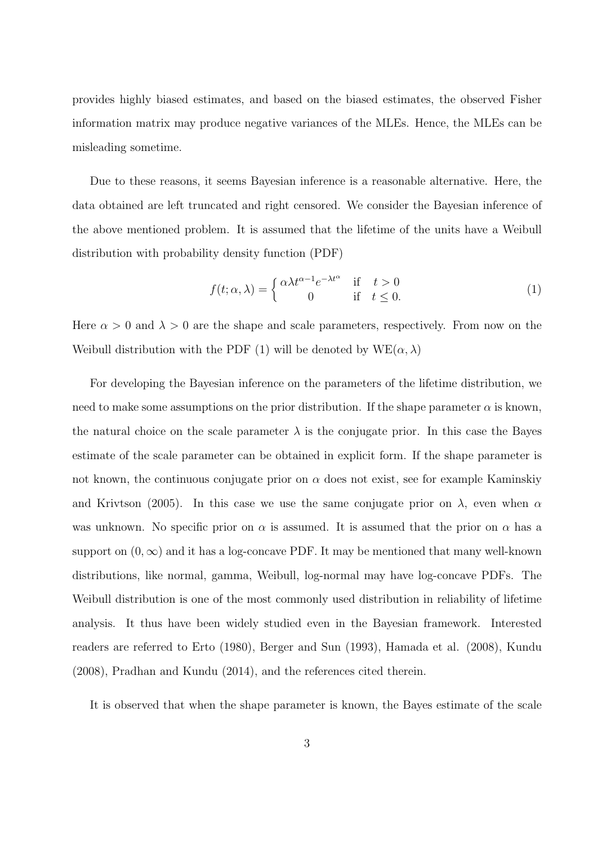provides highly biased estimates, and based on the biased estimates, the observed Fisher information matrix may produce negative variances of the MLEs. Hence, the MLEs can be misleading sometime.

Due to these reasons, it seems Bayesian inference is a reasonable alternative. Here, the data obtained are left truncated and right censored. We consider the Bayesian inference of the above mentioned problem. It is assumed that the lifetime of the units have a Weibull distribution with probability density function (PDF)

$$
f(t; \alpha, \lambda) = \begin{cases} \alpha \lambda t^{\alpha - 1} e^{-\lambda t^{\alpha}} & \text{if } t > 0 \\ 0 & \text{if } t \le 0. \end{cases}
$$
 (1)

Here  $\alpha > 0$  and  $\lambda > 0$  are the shape and scale parameters, respectively. From now on the Weibull distribution with the PDF (1) will be denoted by  $WE(\alpha, \lambda)$ 

For developing the Bayesian inference on the parameters of the lifetime distribution, we need to make some assumptions on the prior distribution. If the shape parameter  $\alpha$  is known, the natural choice on the scale parameter  $\lambda$  is the conjugate prior. In this case the Bayes estimate of the scale parameter can be obtained in explicit form. If the shape parameter is not known, the continuous conjugate prior on  $\alpha$  does not exist, see for example Kaminskiy and Krivtson (2005). In this case we use the same conjugate prior on  $\lambda$ , even when  $\alpha$ was unknown. No specific prior on  $\alpha$  is assumed. It is assumed that the prior on  $\alpha$  has a support on  $(0, \infty)$  and it has a log-concave PDF. It may be mentioned that many well-known distributions, like normal, gamma, Weibull, log-normal may have log-concave PDFs. The Weibull distribution is one of the most commonly used distribution in reliability of lifetime analysis. It thus have been widely studied even in the Bayesian framework. Interested readers are referred to Erto (1980), Berger and Sun (1993), Hamada et al. (2008), Kundu (2008), Pradhan and Kundu (2014), and the references cited therein.

It is observed that when the shape parameter is known, the Bayes estimate of the scale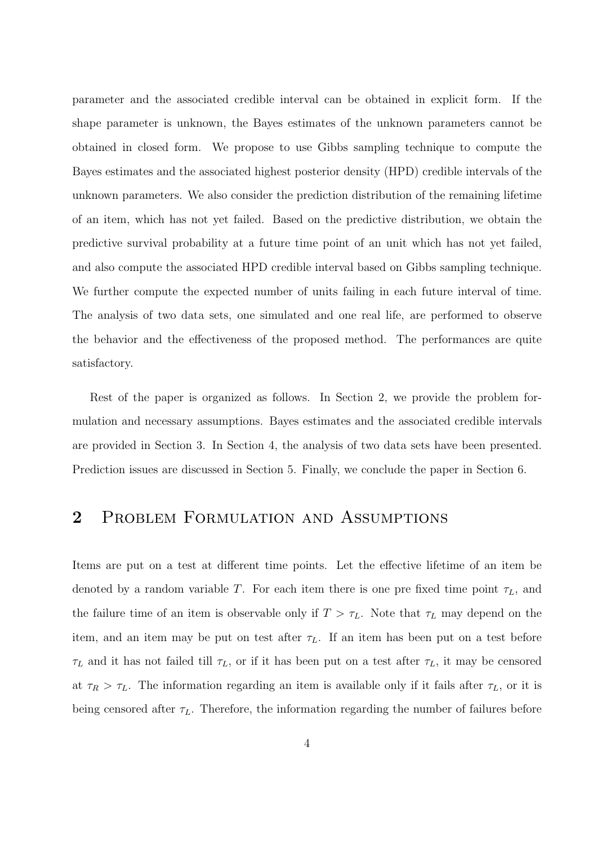parameter and the associated credible interval can be obtained in explicit form. If the shape parameter is unknown, the Bayes estimates of the unknown parameters cannot be obtained in closed form. We propose to use Gibbs sampling technique to compute the Bayes estimates and the associated highest posterior density (HPD) credible intervals of the unknown parameters. We also consider the prediction distribution of the remaining lifetime of an item, which has not yet failed. Based on the predictive distribution, we obtain the predictive survival probability at a future time point of an unit which has not yet failed, and also compute the associated HPD credible interval based on Gibbs sampling technique. We further compute the expected number of units failing in each future interval of time. The analysis of two data sets, one simulated and one real life, are performed to observe the behavior and the effectiveness of the proposed method. The performances are quite satisfactory.

Rest of the paper is organized as follows. In Section 2, we provide the problem formulation and necessary assumptions. Bayes estimates and the associated credible intervals are provided in Section 3. In Section 4, the analysis of two data sets have been presented. Prediction issues are discussed in Section 5. Finally, we conclude the paper in Section 6.

# 2 PROBLEM FORMULATION AND ASSUMPTIONS

Items are put on a test at different time points. Let the effective lifetime of an item be denoted by a random variable T. For each item there is one pre fixed time point  $\tau_L$ , and the failure time of an item is observable only if  $T > \tau_L$ . Note that  $\tau_L$  may depend on the item, and an item may be put on test after  $\tau_L$ . If an item has been put on a test before  $\tau_L$  and it has not failed till  $\tau_L$ , or if it has been put on a test after  $\tau_L$ , it may be censored at  $\tau_R > \tau_L$ . The information regarding an item is available only if it fails after  $\tau_L$ , or it is being censored after  $\tau_L$ . Therefore, the information regarding the number of failures before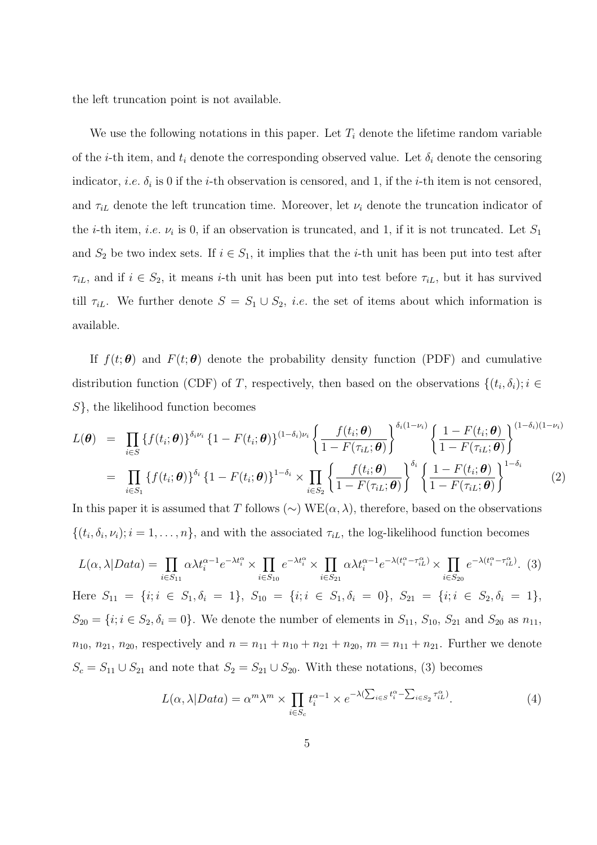the left truncation point is not available.

We use the following notations in this paper. Let  $T_i$  denote the lifetime random variable of the *i*-th item, and  $t_i$  denote the corresponding observed value. Let  $\delta_i$  denote the censoring indicator, *i.e.*  $\delta_i$  is 0 if the *i*-th observation is censored, and 1, if the *i*-th item is not censored, and  $\tau_{iL}$  denote the left truncation time. Moreover, let  $\nu_i$  denote the truncation indicator of the *i*-th item, *i.e.*  $\nu_i$  is 0, if an observation is truncated, and 1, if it is not truncated. Let  $S_1$ and  $S_2$  be two index sets. If  $i \in S_1$ , it implies that the *i*-th unit has been put into test after  $\tau_{iL}$ , and if  $i \in S_2$ , it means *i*-th unit has been put into test before  $\tau_{iL}$ , but it has survived till  $\tau_{iL}$ . We further denote  $S = S_1 \cup S_2$ , *i.e.* the set of items about which information is available.

If  $f(t; \theta)$  and  $F(t; \theta)$  denote the probability density function (PDF) and cumulative distribution function (CDF) of T, respectively, then based on the observations  $\{(t_i, \delta_i); i \in$ S}, the likelihood function becomes

$$
L(\boldsymbol{\theta}) = \prod_{i \in S} \{f(t_i; \boldsymbol{\theta})\}^{\delta_i \nu_i} \{1 - F(t_i; \boldsymbol{\theta})\}^{(1 - \delta_i) \nu_i} \left\{ \frac{f(t_i; \boldsymbol{\theta})}{1 - F(\tau_{iL}; \boldsymbol{\theta})} \right\}^{\delta_i (1 - \nu_i)} \left\{ \frac{1 - F(t_i; \boldsymbol{\theta})}{1 - F(\tau_{iL}; \boldsymbol{\theta})} \right\}^{(1 - \delta_i)(1 - \nu_i)}
$$
  

$$
= \prod_{i \in S_1} \{f(t_i; \boldsymbol{\theta})\}^{\delta_i} \{1 - F(t_i; \boldsymbol{\theta})\}^{1 - \delta_i} \times \prod_{i \in S_2} \left\{ \frac{f(t_i; \boldsymbol{\theta})}{1 - F(\tau_{iL}; \boldsymbol{\theta})} \right\}^{\delta_i} \left\{ \frac{1 - F(t_i; \boldsymbol{\theta})}{1 - F(\tau_{iL}; \boldsymbol{\theta})} \right\}^{1 - \delta_i}
$$
(2)

In this paper it is assumed that T follows  $(\sim)$  WE $(\alpha, \lambda)$ , therefore, based on the observations  $\{(t_i, \delta_i, \nu_i); i = 1, \ldots, n\}$ , and with the associated  $\tau_{iL}$ , the log-likelihood function becomes

$$
L(\alpha, \lambda | Data) = \prod_{i \in S_{11}} \alpha \lambda t_i^{\alpha - 1} e^{-\lambda t_i^{\alpha}} \times \prod_{i \in S_{10}} e^{-\lambda t_i^{\alpha}} \times \prod_{i \in S_{21}} \alpha \lambda t_i^{\alpha - 1} e^{-\lambda (t_i^{\alpha} - \tau_{iL}^{\alpha})} \times \prod_{i \in S_{20}} e^{-\lambda (t_i^{\alpha} - \tau_{iL}^{\alpha})}.
$$
 (3)

Here  $S_{11} = \{i; i \in S_1, \delta_i = 1\}, S_{10} = \{i; i \in S_1, \delta_i = 0\}, S_{21} = \{i; i \in S_2, \delta_i = 1\},$  $S_{20} = \{i; i \in S_2, \delta_i = 0\}$ . We denote the number of elements in  $S_{11}$ ,  $S_{10}$ ,  $S_{21}$  and  $S_{20}$  as  $n_{11}$ ,  $n_{10}, n_{21}, n_{20}$ , respectively and  $n = n_{11} + n_{10} + n_{21} + n_{20}$ ,  $m = n_{11} + n_{21}$ . Further we denote  $S_c = S_{11} \cup S_{21}$  and note that  $S_2 = S_{21} \cup S_{20}$ . With these notations, (3) becomes

$$
L(\alpha, \lambda | Data) = \alpha^m \lambda^m \times \prod_{i \in S_c} t_i^{\alpha - 1} \times e^{-\lambda (\sum_{i \in S} t_i^{\alpha} - \sum_{i \in S_2} \tau_{iL}^{\alpha})}.
$$
 (4)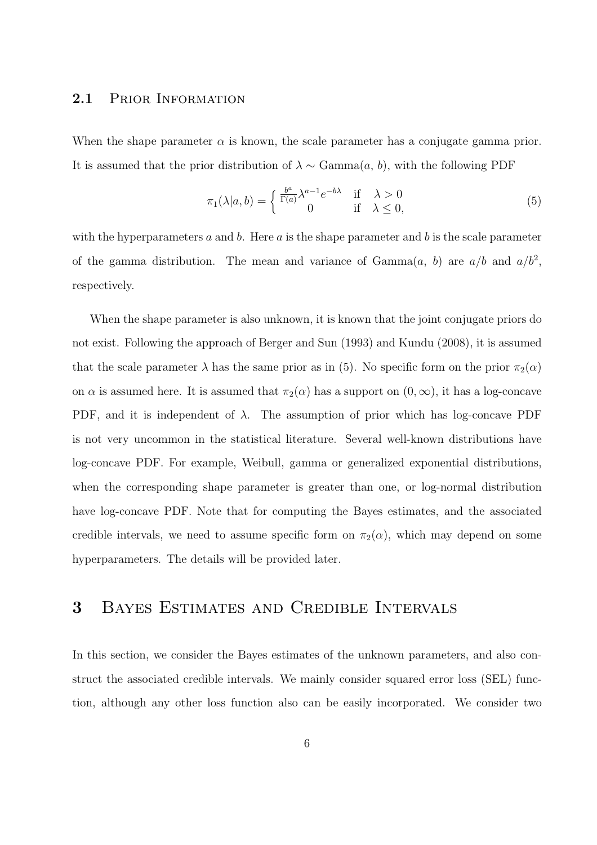### 2.1 PRIOR INFORMATION

When the shape parameter  $\alpha$  is known, the scale parameter has a conjugate gamma prior. It is assumed that the prior distribution of  $\lambda \sim \text{Gamma}(a, b)$ , with the following PDF

$$
\pi_1(\lambda|a,b) = \begin{cases} \frac{b^a}{\Gamma(a)} \lambda^{a-1} e^{-b\lambda} & \text{if } \lambda > 0\\ 0 & \text{if } \lambda \le 0, \end{cases}
$$
 (5)

with the hyperparameters a and b. Here a is the shape parameter and b is the scale parameter of the gamma distribution. The mean and variance of Gamma $(a, b)$  are  $a/b$  and  $a/b^2$ , respectively.

When the shape parameter is also unknown, it is known that the joint conjugate priors do not exist. Following the approach of Berger and Sun (1993) and Kundu (2008), it is assumed that the scale parameter  $\lambda$  has the same prior as in (5). No specific form on the prior  $\pi_2(\alpha)$ on  $\alpha$  is assumed here. It is assumed that  $\pi_2(\alpha)$  has a support on  $(0, \infty)$ , it has a log-concave PDF, and it is independent of  $\lambda$ . The assumption of prior which has log-concave PDF is not very uncommon in the statistical literature. Several well-known distributions have log-concave PDF. For example, Weibull, gamma or generalized exponential distributions, when the corresponding shape parameter is greater than one, or log-normal distribution have log-concave PDF. Note that for computing the Bayes estimates, and the associated credible intervals, we need to assume specific form on  $\pi_2(\alpha)$ , which may depend on some hyperparameters. The details will be provided later.

# 3 Bayes Estimates and Credible Intervals

In this section, we consider the Bayes estimates of the unknown parameters, and also construct the associated credible intervals. We mainly consider squared error loss (SEL) function, although any other loss function also can be easily incorporated. We consider two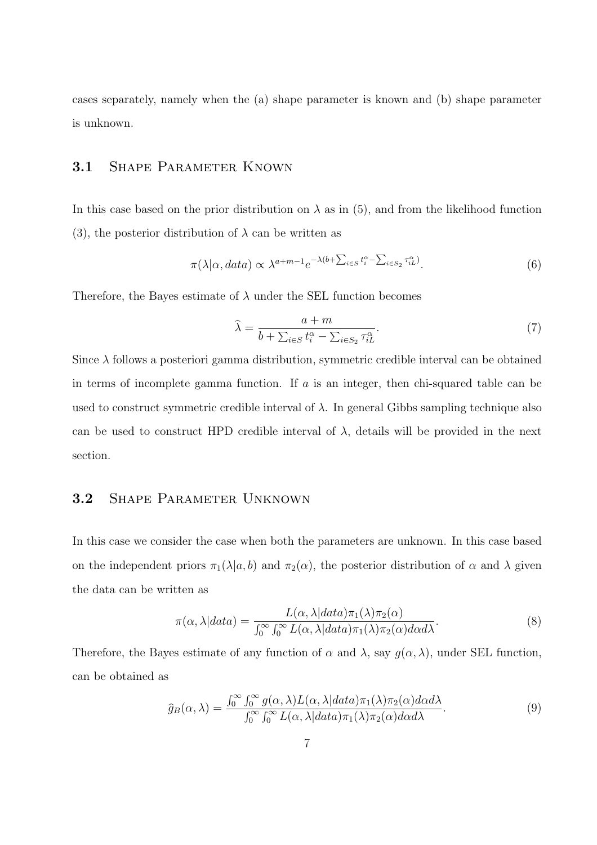cases separately, namely when the (a) shape parameter is known and (b) shape parameter is unknown.

### 3.1 SHAPE PARAMETER KNOWN

In this case based on the prior distribution on  $\lambda$  as in (5), and from the likelihood function (3), the posterior distribution of  $\lambda$  can be written as

$$
\pi(\lambda|\alpha, data) \propto \lambda^{a+m-1} e^{-\lambda(b+\sum_{i \in S} t_i^{\alpha} - \sum_{i \in S_2} \tau_{iL}^{\alpha})}.
$$
 (6)

Therefore, the Bayes estimate of  $\lambda$  under the SEL function becomes

$$
\widehat{\lambda} = \frac{a+m}{b+\sum_{i \in S} t_i^{\alpha} - \sum_{i \in S_2} \tau_{iL}^{\alpha}}.
$$
\n(7)

Since  $\lambda$  follows a posteriori gamma distribution, symmetric credible interval can be obtained in terms of incomplete gamma function. If  $a$  is an integer, then chi-squared table can be used to construct symmetric credible interval of  $\lambda$ . In general Gibbs sampling technique also can be used to construct HPD credible interval of  $\lambda$ , details will be provided in the next section.

### 3.2 Shape Parameter Unknown

In this case we consider the case when both the parameters are unknown. In this case based on the independent priors  $\pi_1(\lambda|a, b)$  and  $\pi_2(\alpha)$ , the posterior distribution of  $\alpha$  and  $\lambda$  given the data can be written as

$$
\pi(\alpha, \lambda|data) = \frac{L(\alpha, \lambda|data)\pi_1(\lambda)\pi_2(\alpha)}{\int_0^\infty \int_0^\infty L(\alpha, \lambda|data)\pi_1(\lambda)\pi_2(\alpha)d\alpha d\lambda}.
$$
\n(8)

Therefore, the Bayes estimate of any function of  $\alpha$  and  $\lambda$ , say  $g(\alpha, \lambda)$ , under SEL function, can be obtained as

$$
\widehat{g}_B(\alpha,\lambda) = \frac{\int_0^\infty \int_0^\infty g(\alpha,\lambda)L(\alpha,\lambda|data)\pi_1(\lambda)\pi_2(\alpha)d\alpha d\lambda}{\int_0^\infty \int_0^\infty L(\alpha,\lambda|data)\pi_1(\lambda)\pi_2(\alpha)d\alpha d\lambda}.\tag{9}
$$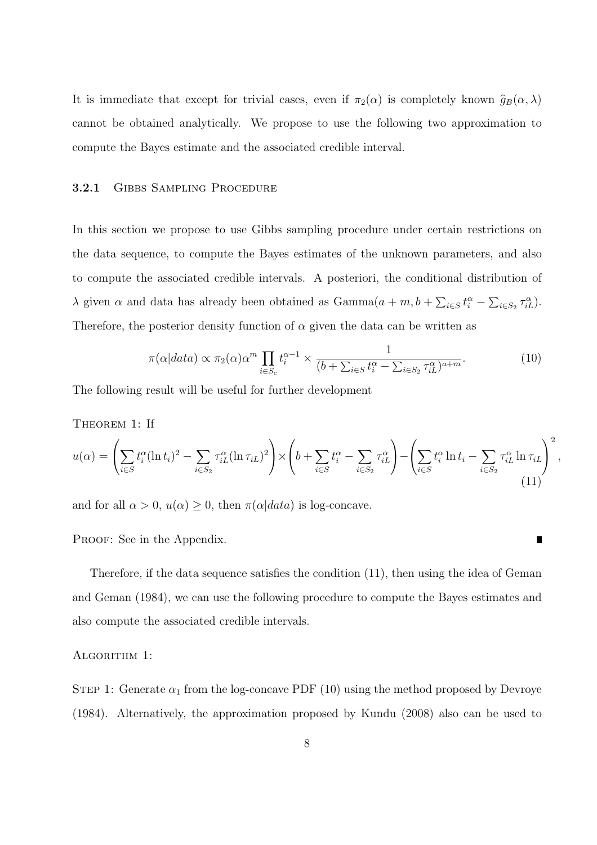It is immediate that except for trivial cases, even if  $\pi_2(\alpha)$  is completely known  $\hat{g}_B(\alpha, \lambda)$ cannot be obtained analytically. We propose to use the following two approximation to compute the Bayes estimate and the associated credible interval.

#### 3.2.1 GIBBS SAMPLING PROCEDURE

In this section we propose to use Gibbs sampling procedure under certain restrictions on the data sequence, to compute the Bayes estimates of the unknown parameters, and also to compute the associated credible intervals. A posteriori, the conditional distribution of λ given α and data has already been obtained as  $Gamma(a + m, b + \sum_{i \in S} t_i^{\alpha} - \sum_{i \in S_2} \tau_{iL}^{\alpha}).$ Therefore, the posterior density function of  $\alpha$  given the data can be written as

$$
\pi(\alpha|data) \propto \pi_2(\alpha)\alpha^m \prod_{i \in S_c} t_i^{\alpha-1} \times \frac{1}{(b + \sum_{i \in S} t_i^{\alpha} - \sum_{i \in S_2} \tau_{iL}^{\alpha})^{a+m}}.
$$
\n(10)

,

П

The following result will be useful for further development

THEOREM 1: If

$$
u(\alpha) = \left(\sum_{i \in S} t_i^{\alpha} (\ln t_i)^2 - \sum_{i \in S_2} \tau_{iL}^{\alpha} (\ln \tau_{iL})^2\right) \times \left(b + \sum_{i \in S} t_i^{\alpha} - \sum_{i \in S_2} \tau_{iL}^{\alpha}\right) - \left(\sum_{i \in S} t_i^{\alpha} \ln t_i - \sum_{i \in S_2} \tau_{iL}^{\alpha} \ln \tau_{iL}\right)^2
$$
\n(11)

and for all  $\alpha > 0$ ,  $u(\alpha) \geq 0$ , then  $\pi(\alpha|data)$  is log-concave.

PROOF: See in the Appendix.

Therefore, if the data sequence satisfies the condition (11), then using the idea of Geman and Geman (1984), we can use the following procedure to compute the Bayes estimates and also compute the associated credible intervals.

#### ALGORITHM 1:

STEP 1: Generate  $\alpha_1$  from the log-concave PDF (10) using the method proposed by Devroye (1984). Alternatively, the approximation proposed by Kundu (2008) also can be used to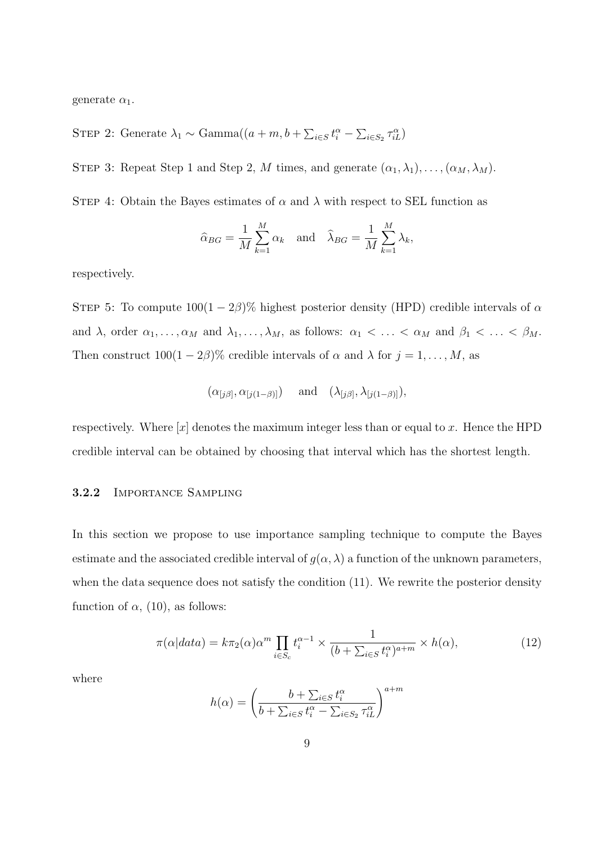generate  $\alpha_1$ .

STEP 2: Generate  $\lambda_1 \sim \text{Gamma}((a+m, b+\sum_{i \in S} t_i^{\alpha} - \sum_{i \in S_2} \tau_{iL}^{\alpha})$ 

STEP 3: Repeat Step 1 and Step 2, M times, and generate  $(\alpha_1, \lambda_1), \ldots, (\alpha_M, \lambda_M)$ .

STEP 4: Obtain the Bayes estimates of  $\alpha$  and  $\lambda$  with respect to SEL function as

$$
\widehat{\alpha}_{BG} = \frac{1}{M} \sum_{k=1}^{M} \alpha_k \quad \text{and} \quad \widehat{\lambda}_{BG} = \frac{1}{M} \sum_{k=1}^{M} \lambda_k,
$$

respectively.

STEP 5: To compute  $100(1-2\beta)\%$  highest posterior density (HPD) credible intervals of  $\alpha$ and  $\lambda$ , order  $\alpha_1, \ldots, \alpha_M$  and  $\lambda_1, \ldots, \lambda_M$ , as follows:  $\alpha_1 < \ldots < \alpha_M$  and  $\beta_1 < \ldots < \beta_M$ . Then construct  $100(1 - 2\beta)\%$  credible intervals of  $\alpha$  and  $\lambda$  for  $j = 1, \ldots, M$ , as

$$
(\alpha_{[j\beta]}, \alpha_{[j(1-\beta)]}) \quad \text{ and } \quad (\lambda_{[j\beta]}, \lambda_{[j(1-\beta)]}),
$$

respectively. Where  $[x]$  denotes the maximum integer less than or equal to x. Hence the HPD credible interval can be obtained by choosing that interval which has the shortest length.

#### 3.2.2 Importance Sampling

In this section we propose to use importance sampling technique to compute the Bayes estimate and the associated credible interval of  $g(\alpha, \lambda)$  a function of the unknown parameters, when the data sequence does not satisfy the condition (11). We rewrite the posterior density function of  $\alpha$ , (10), as follows:

$$
\pi(\alpha|data) = k\pi_2(\alpha)\alpha^m \prod_{i \in S_c} t_i^{\alpha - 1} \times \frac{1}{(b + \sum_{i \in S} t_i^{\alpha})^{a + m}} \times h(\alpha),\tag{12}
$$

where

$$
h(\alpha) = \left(\frac{b + \sum_{i \in S} t_i^{\alpha}}{b + \sum_{i \in S} t_i^{\alpha} - \sum_{i \in S_2} \tau_{iL}^{\alpha}}\right)^{a+m}
$$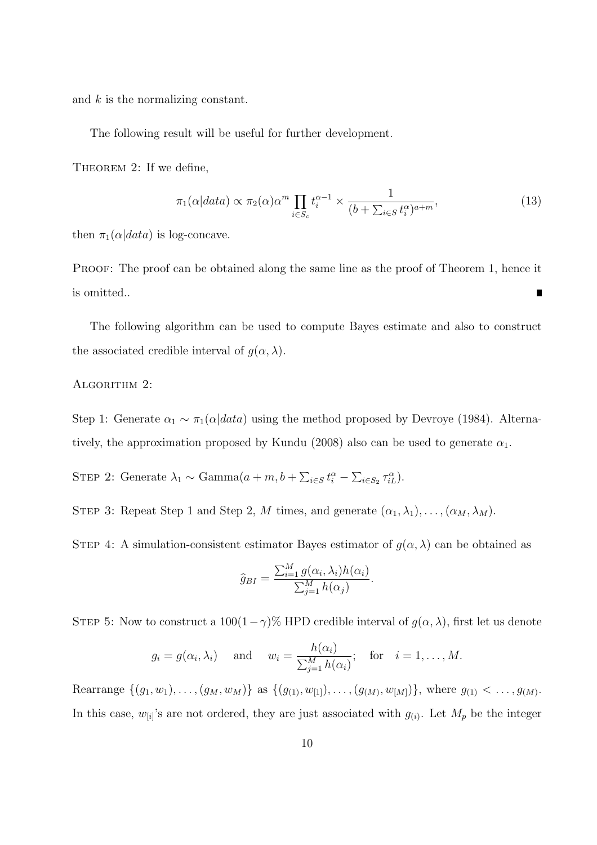and k is the normalizing constant.

The following result will be useful for further development.

THEOREM 2: If we define,

$$
\pi_1(\alpha|data) \propto \pi_2(\alpha)\alpha^m \prod_{i \in S_c} t_i^{\alpha-1} \times \frac{1}{(b + \sum_{i \in S} t_i^{\alpha})^{a+m}},\tag{13}
$$

then  $\pi_1(\alpha|data)$  is log-concave.

PROOF: The proof can be obtained along the same line as the proof of Theorem 1, hence it is omitted..  $\blacksquare$ 

The following algorithm can be used to compute Bayes estimate and also to construct the associated credible interval of  $g(\alpha, \lambda)$ .

#### ALGORITHM 2:

Step 1: Generate  $\alpha_1 \sim \pi_1(\alpha|data)$  using the method proposed by Devroye (1984). Alternatively, the approximation proposed by Kundu (2008) also can be used to generate  $\alpha_1$ .

STEP 2: Generate  $\lambda_1 \sim \text{Gamma}(a+m, b+\sum_{i \in S} t_i^{\alpha} - \sum_{i \in S_2} \tau_{iL}^{\alpha}).$ 

STEP 3: Repeat Step 1 and Step 2, M times, and generate  $(\alpha_1, \lambda_1), \ldots, (\alpha_M, \lambda_M)$ .

STEP 4: A simulation-consistent estimator Bayes estimator of  $g(\alpha, \lambda)$  can be obtained as

$$
\widehat{g}_{BI} = \frac{\sum_{i=1}^{M} g(\alpha_i, \lambda_i) h(\alpha_i)}{\sum_{j=1}^{M} h(\alpha_j)}.
$$

STEP 5: Now to construct a  $100(1-\gamma)\%$  HPD credible interval of  $g(\alpha, \lambda)$ , first let us denote

$$
g_i = g(\alpha_i, \lambda_i)
$$
 and  $w_i = \frac{h(\alpha_i)}{\sum_{j=1}^M h(\alpha_i)}$ ; for  $i = 1, ..., M$ .

Rearrange  $\{(g_1, w_1), \ldots, (g_M, w_M)\}\$ as  $\{(g_{(1)}, w_{[1]}), \ldots, (g_{(M)}, w_{[M]})\}\$ , where  $g_{(1)} < \ldots, g_{(M)}\$ . In this case,  $w_{[i]}$ 's are not ordered, they are just associated with  $g_{(i)}$ . Let  $M_p$  be the integer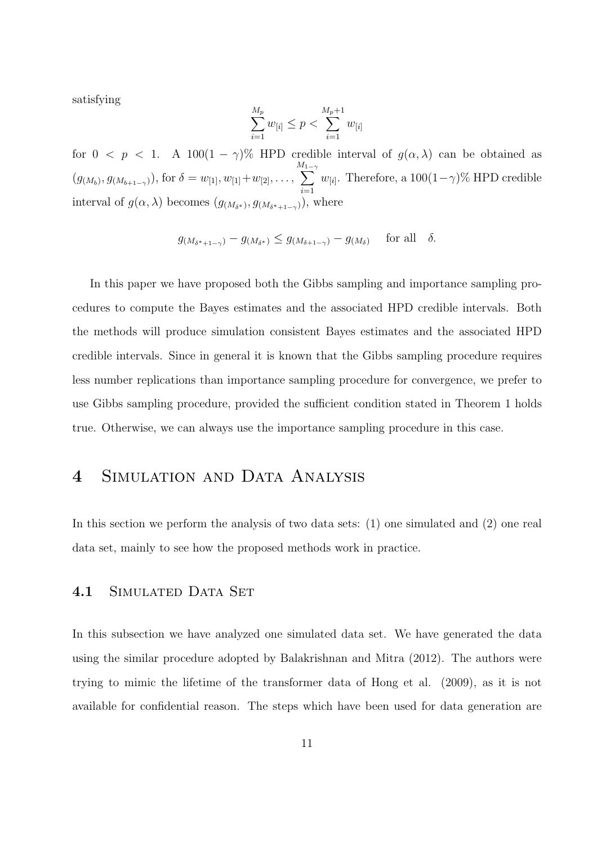satisfying

$$
\sum_{i=1}^{M_p} w_{[i]} \le p < \sum_{i=1}^{M_p+1} w_{[i]}
$$

for  $0 \leq p \leq 1$ . A  $100(1 - \gamma)$ % HPD credible interval of  $g(\alpha, \lambda)$  can be obtained as  $(g_{(M_b)}, g_{(M_{b+1-\gamma})}),$  for  $\delta = w_{[1]}, w_{[1]}+w_{[2]}, \ldots,$  $\sum_{n=1}^{M_1-1}$  $i=1$  $w_{[i]}$ . Therefore, a 100 $(1-\gamma)$ % HPD credible interval of  $g(\alpha, \lambda)$  becomes  $(g_{(M_{\delta^*})}, g_{(M_{\delta^*+1-\gamma})})$ , where

$$
g_{(M_{\delta^*+1-\gamma})} - g_{(M_{\delta^*})} \le g_{(M_{\delta+1-\gamma})} - g_{(M_{\delta})} \quad \text{for all} \quad \delta.
$$

In this paper we have proposed both the Gibbs sampling and importance sampling procedures to compute the Bayes estimates and the associated HPD credible intervals. Both the methods will produce simulation consistent Bayes estimates and the associated HPD credible intervals. Since in general it is known that the Gibbs sampling procedure requires less number replications than importance sampling procedure for convergence, we prefer to use Gibbs sampling procedure, provided the sufficient condition stated in Theorem 1 holds true. Otherwise, we can always use the importance sampling procedure in this case.

# 4 Simulation and Data Analysis

In this section we perform the analysis of two data sets: (1) one simulated and (2) one real data set, mainly to see how the proposed methods work in practice.

#### 4.1 SIMULATED DATA SET

In this subsection we have analyzed one simulated data set. We have generated the data using the similar procedure adopted by Balakrishnan and Mitra (2012). The authors were trying to mimic the lifetime of the transformer data of Hong et al. (2009), as it is not available for confidential reason. The steps which have been used for data generation are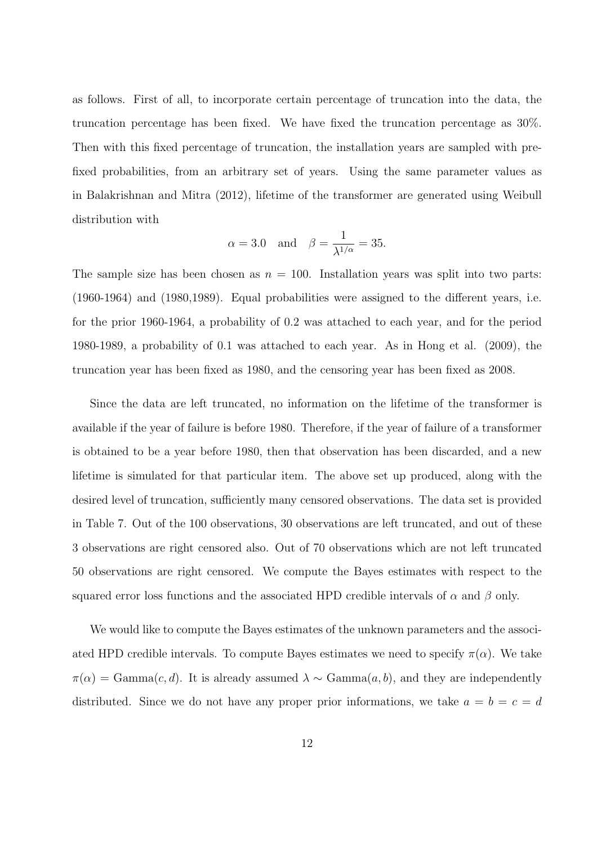as follows. First of all, to incorporate certain percentage of truncation into the data, the truncation percentage has been fixed. We have fixed the truncation percentage as 30%. Then with this fixed percentage of truncation, the installation years are sampled with prefixed probabilities, from an arbitrary set of years. Using the same parameter values as in Balakrishnan and Mitra (2012), lifetime of the transformer are generated using Weibull distribution with

$$
\alpha = 3.0
$$
 and  $\beta = \frac{1}{\lambda^{1/\alpha}} = 35.$ 

The sample size has been chosen as  $n = 100$ . Installation years was split into two parts: (1960-1964) and (1980,1989). Equal probabilities were assigned to the different years, i.e. for the prior 1960-1964, a probability of 0.2 was attached to each year, and for the period 1980-1989, a probability of 0.1 was attached to each year. As in Hong et al. (2009), the truncation year has been fixed as 1980, and the censoring year has been fixed as 2008.

Since the data are left truncated, no information on the lifetime of the transformer is available if the year of failure is before 1980. Therefore, if the year of failure of a transformer is obtained to be a year before 1980, then that observation has been discarded, and a new lifetime is simulated for that particular item. The above set up produced, along with the desired level of truncation, sufficiently many censored observations. The data set is provided in Table 7. Out of the 100 observations, 30 observations are left truncated, and out of these 3 observations are right censored also. Out of 70 observations which are not left truncated 50 observations are right censored. We compute the Bayes estimates with respect to the squared error loss functions and the associated HPD credible intervals of  $\alpha$  and  $\beta$  only.

We would like to compute the Bayes estimates of the unknown parameters and the associated HPD credible intervals. To compute Bayes estimates we need to specify  $\pi(\alpha)$ . We take  $\pi(\alpha) = \text{Gamma}(c, d)$ . It is already assumed  $\lambda \sim \text{Gamma}(a, b)$ , and they are independently distributed. Since we do not have any proper prior informations, we take  $a = b = c = d$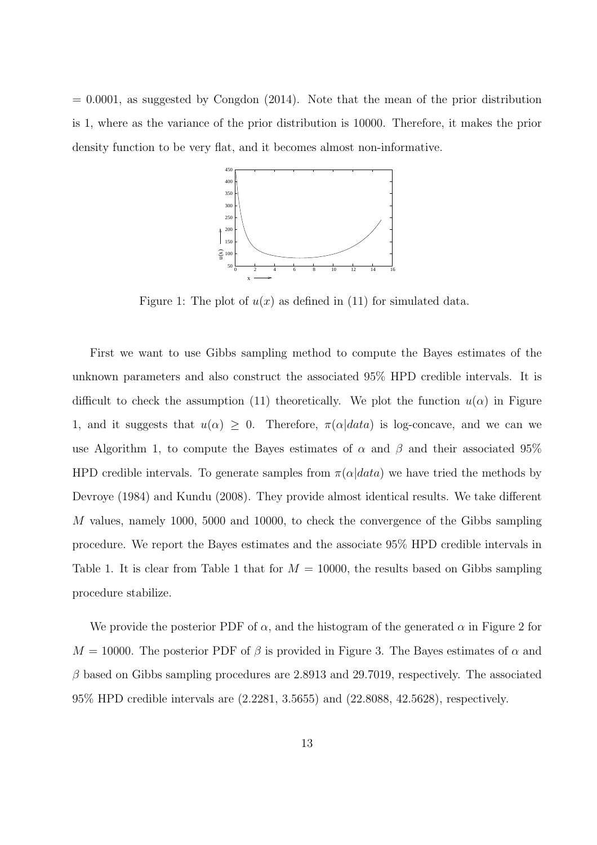$= 0.0001$ , as suggested by Congdon (2014). Note that the mean of the prior distribution is 1, where as the variance of the prior distribution is 10000. Therefore, it makes the prior density function to be very flat, and it becomes almost non-informative.



Figure 1: The plot of  $u(x)$  as defined in (11) for simulated data.

First we want to use Gibbs sampling method to compute the Bayes estimates of the unknown parameters and also construct the associated 95% HPD credible intervals. It is difficult to check the assumption (11) theoretically. We plot the function  $u(\alpha)$  in Figure 1, and it suggests that  $u(\alpha) \geq 0$ . Therefore,  $\pi(\alpha|data)$  is log-concave, and we can we use Algorithm 1, to compute the Bayes estimates of  $\alpha$  and  $\beta$  and their associated 95% HPD credible intervals. To generate samples from  $\pi(\alpha|data)$  we have tried the methods by Devroye (1984) and Kundu (2008). They provide almost identical results. We take different M values, namely 1000, 5000 and 10000, to check the convergence of the Gibbs sampling procedure. We report the Bayes estimates and the associate 95% HPD credible intervals in Table 1. It is clear from Table 1 that for  $M = 10000$ , the results based on Gibbs sampling procedure stabilize.

We provide the posterior PDF of  $\alpha$ , and the histogram of the generated  $\alpha$  in Figure 2 for  $M = 10000$ . The posterior PDF of  $\beta$  is provided in Figure 3. The Bayes estimates of  $\alpha$  and  $\beta$  based on Gibbs sampling procedures are 2.8913 and 29.7019, respectively. The associated 95% HPD credible intervals are (2.2281, 3.5655) and (22.8088, 42.5628), respectively.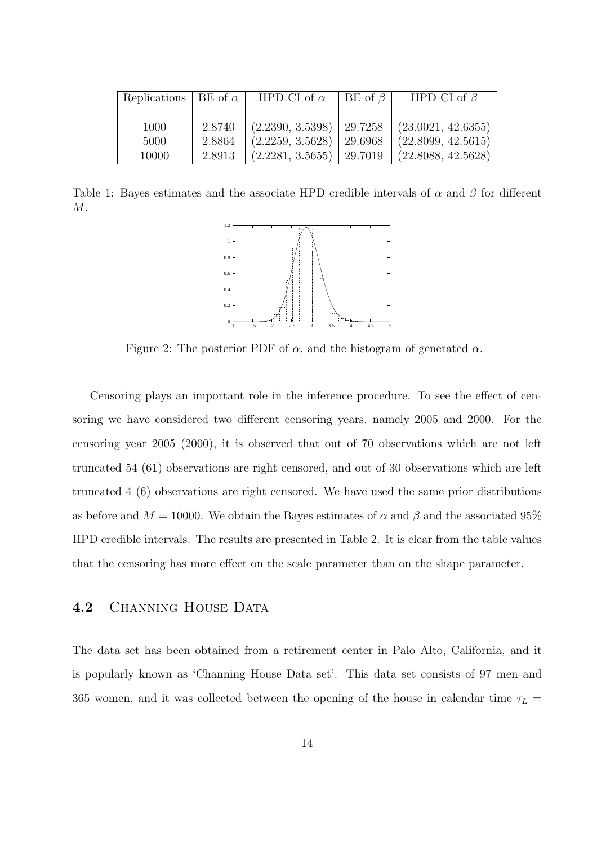| Replications   BE of $\alpha$ |        | HPD CI of $\alpha$ | BE of $\beta$ | HPD CI of $\beta$  |
|-------------------------------|--------|--------------------|---------------|--------------------|
|                               |        |                    |               |                    |
| 1000                          | 2.8740 | (2.2390, 3.5398)   | 29.7258       | (23.0021, 42.6355) |
| 5000                          | 2.8864 | (2.2259, 3.5628)   | 29.6968       | (22.8099, 42.5615) |
| 10000                         | 2.8913 | (2.2281, 3.5655)   | 29.7019       | (22.8088, 42.5628) |

Table 1: Bayes estimates and the associate HPD credible intervals of  $\alpha$  and  $\beta$  for different M.



Figure 2: The posterior PDF of  $\alpha$ , and the histogram of generated  $\alpha$ .

Censoring plays an important role in the inference procedure. To see the effect of censoring we have considered two different censoring years, namely 2005 and 2000. For the censoring year 2005 (2000), it is observed that out of 70 observations which are not left truncated 54 (61) observations are right censored, and out of 30 observations which are left truncated 4 (6) observations are right censored. We have used the same prior distributions as before and  $M = 10000$ . We obtain the Bayes estimates of  $\alpha$  and  $\beta$  and the associated 95% HPD credible intervals. The results are presented in Table 2. It is clear from the table values that the censoring has more effect on the scale parameter than on the shape parameter.

#### 4.2 CHANNING HOUSE DATA

The data set has been obtained from a retirement center in Palo Alto, California, and it is popularly known as 'Channing House Data set'. This data set consists of 97 men and 365 women, and it was collected between the opening of the house in calendar time  $\tau_L$  =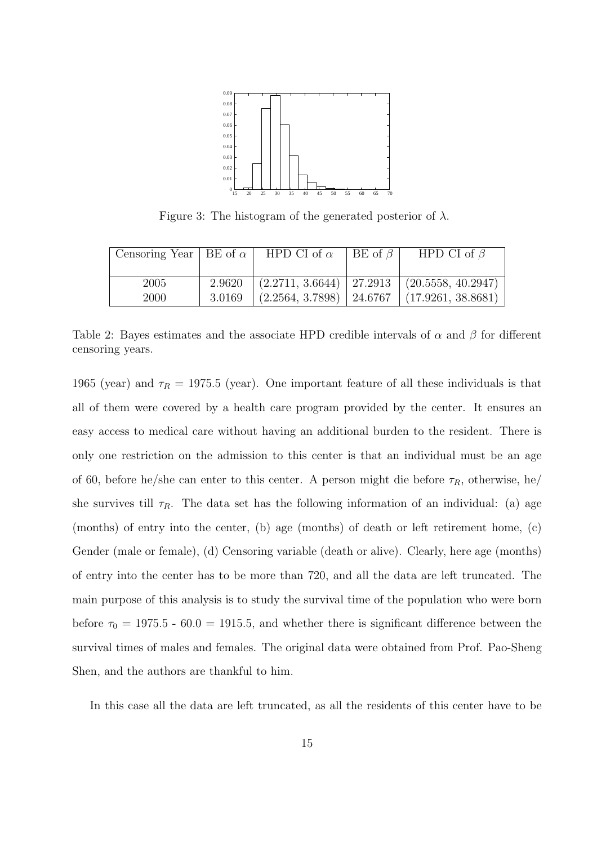

Figure 3: The histogram of the generated posterior of  $\lambda$ .

| Censoring Year   BE of $\alpha$ |        | HPD CI of $\alpha$ | BE of $\beta$ | HPD CI of $\beta$                                   |
|---------------------------------|--------|--------------------|---------------|-----------------------------------------------------|
|                                 |        |                    |               |                                                     |
| 2005                            | 2.9620 |                    |               | $(2.2711, 3.6644)$   27.2913   $(20.5558, 40.2947)$ |
| 2000                            | 3.0169 |                    |               | $(2.2564, 3.7898)$   24.6767   $(17.9261, 38.8681)$ |

Table 2: Bayes estimates and the associate HPD credible intervals of  $\alpha$  and  $\beta$  for different censoring years.

1965 (year) and  $\tau_R = 1975.5$  (year). One important feature of all these individuals is that all of them were covered by a health care program provided by the center. It ensures an easy access to medical care without having an additional burden to the resident. There is only one restriction on the admission to this center is that an individual must be an age of 60, before he/she can enter to this center. A person might die before  $\tau_R$ , otherwise, he/ she survives till  $\tau_R$ . The data set has the following information of an individual: (a) age (months) of entry into the center, (b) age (months) of death or left retirement home, (c) Gender (male or female), (d) Censoring variable (death or alive). Clearly, here age (months) of entry into the center has to be more than 720, and all the data are left truncated. The main purpose of this analysis is to study the survival time of the population who were born before  $\tau_0 = 1975.5$  - 60.0 = 1915.5, and whether there is significant difference between the survival times of males and females. The original data were obtained from Prof. Pao-Sheng Shen, and the authors are thankful to him.

In this case all the data are left truncated, as all the residents of this center have to be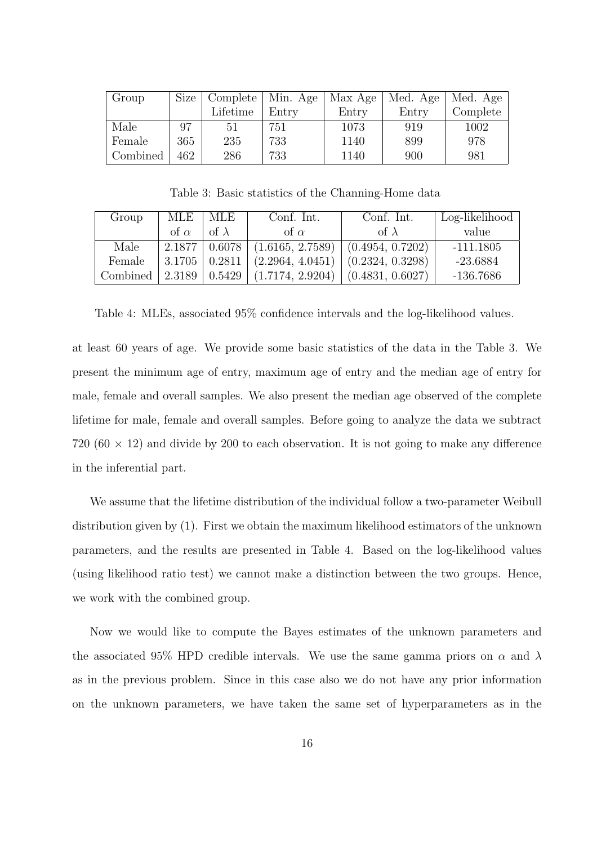| Group    | Size | Complete   Min. Age |       | Max Age | Med. Age | Med. Age |
|----------|------|---------------------|-------|---------|----------|----------|
|          |      | Lifetime            | Entry | Entry   | Entry    | Complete |
| Male     | 97   | 51                  | 751   | 1073    | 919      | 1002     |
| Female   | 365  | 235                 | 733   | 1140    | 899      | 978      |
| Combined | 462  | 286                 | 733   | 1140    | 900      | 981      |

Table 3: Basic statistics of the Channing-Home data

| Group    | MLE                  | - MLE        | Conf. Int.       | Conf. Int.       | Log-likelihood |  |  |
|----------|----------------------|--------------|------------------|------------------|----------------|--|--|
|          | of $\alpha$          | of $\lambda$ | of $\alpha$      | of $\lambda$     | value          |  |  |
| Male     | $2.1877 \mid 0.6078$ |              | (1.6165, 2.7589) | (0.4954, 0.7202) | $-111.1805$    |  |  |
| Female   | $3.1705 \mid 0.2811$ |              | (2.2964, 4.0451) | (0.2324, 0.3298) | $-23.6884$     |  |  |
| Combined | 2.3189               | 0.5429       | (1.7174, 2.9204) | (0.4831, 0.6027) | -136.7686      |  |  |

Table 4: MLEs, associated 95% confidence intervals and the log-likelihood values.

at least 60 years of age. We provide some basic statistics of the data in the Table 3. We present the minimum age of entry, maximum age of entry and the median age of entry for male, female and overall samples. We also present the median age observed of the complete lifetime for male, female and overall samples. Before going to analyze the data we subtract 720 (60  $\times$  12) and divide by 200 to each observation. It is not going to make any difference in the inferential part.

We assume that the lifetime distribution of the individual follow a two-parameter Weibull distribution given by (1). First we obtain the maximum likelihood estimators of the unknown parameters, and the results are presented in Table 4. Based on the log-likelihood values (using likelihood ratio test) we cannot make a distinction between the two groups. Hence, we work with the combined group.

Now we would like to compute the Bayes estimates of the unknown parameters and the associated 95% HPD credible intervals. We use the same gamma priors on  $\alpha$  and  $\lambda$ as in the previous problem. Since in this case also we do not have any prior information on the unknown parameters, we have taken the same set of hyperparameters as in the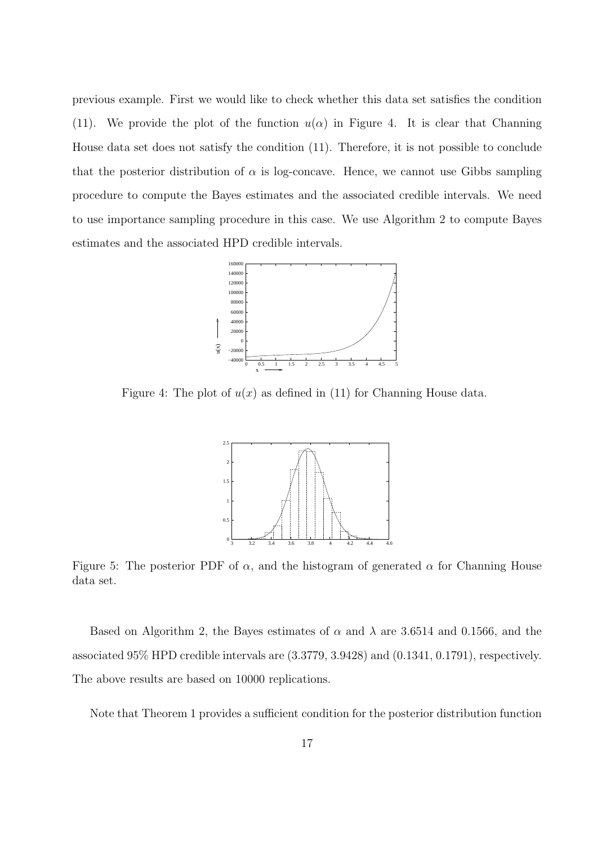previous example. First we would like to check whether this data set satisfies the condition (11). We provide the plot of the function  $u(\alpha)$  in Figure 4. It is clear that Channing House data set does not satisfy the condition (11). Therefore, it is not possible to conclude that the posterior distribution of  $\alpha$  is log-concave. Hence, we cannot use Gibbs sampling procedure to compute the Bayes estimates and the associated credible intervals. We need to use importance sampling procedure in this case. We use Algorithm 2 to compute Bayes estimates and the associated HPD credible intervals.



Figure 4: The plot of  $u(x)$  as defined in (11) for Channing House data.



Figure 5: The posterior PDF of  $\alpha$ , and the histogram of generated  $\alpha$  for Channing House data set.

Based on Algorithm 2, the Bayes estimates of  $\alpha$  and  $\lambda$  are 3.6514 and 0.1566, and the associated 95% HPD credible intervals are (3.3779, 3.9428) and (0.1341, 0.1791), respectively. The above results are based on 10000 replications.

Note that Theorem 1 provides a sufficient condition for the posterior distribution function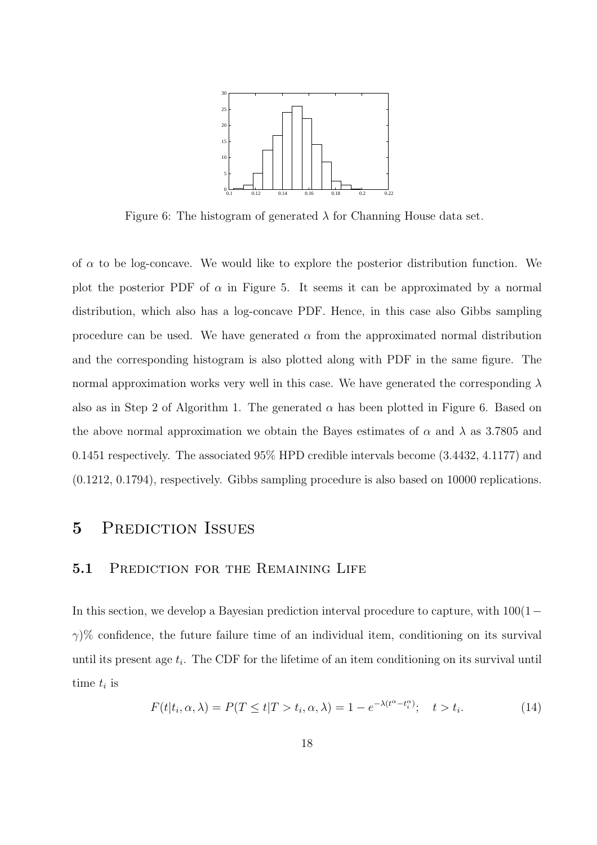

Figure 6: The histogram of generated  $\lambda$  for Channing House data set.

of  $\alpha$  to be log-concave. We would like to explore the posterior distribution function. We plot the posterior PDF of  $\alpha$  in Figure 5. It seems it can be approximated by a normal distribution, which also has a log-concave PDF. Hence, in this case also Gibbs sampling procedure can be used. We have generated  $\alpha$  from the approximated normal distribution and the corresponding histogram is also plotted along with PDF in the same figure. The normal approximation works very well in this case. We have generated the corresponding  $\lambda$ also as in Step 2 of Algorithm 1. The generated  $\alpha$  has been plotted in Figure 6. Based on the above normal approximation we obtain the Bayes estimates of  $\alpha$  and  $\lambda$  as 3.7805 and 0.1451 respectively. The associated 95% HPD credible intervals become (3.4432, 4.1177) and (0.1212, 0.1794), respectively. Gibbs sampling procedure is also based on 10000 replications.

## 5 PREDICTION ISSUES

#### 5.1 PREDICTION FOR THE REMAINING LIFE

In this section, we develop a Bayesian prediction interval procedure to capture, with 100(1−  $\gamma$ % confidence, the future failure time of an individual item, conditioning on its survival until its present age  $t_i$ . The CDF for the lifetime of an item conditioning on its survival until time  $t_i$  is

$$
F(t|t_i, \alpha, \lambda) = P(T \le t | T > t_i, \alpha, \lambda) = 1 - e^{-\lambda(t^{\alpha} - t_i^{\alpha})}; \quad t > t_i.
$$
\n(14)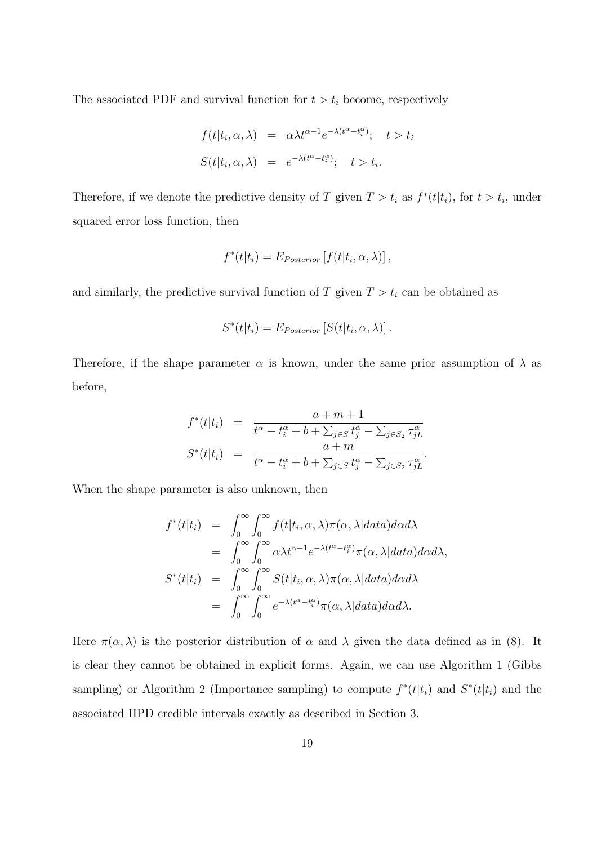The associated PDF and survival function for  $t > t_i$  become, respectively

$$
f(t|t_i, \alpha, \lambda) = \alpha \lambda t^{\alpha - 1} e^{-\lambda (t^{\alpha} - t_i^{\alpha})}; \quad t > t_i
$$
  

$$
S(t|t_i, \alpha, \lambda) = e^{-\lambda (t^{\alpha} - t_i^{\alpha})}; \quad t > t_i.
$$

Therefore, if we denote the predictive density of T given  $T > t_i$  as  $f^*(t|t_i)$ , for  $t > t_i$ , under squared error loss function, then

$$
f^*(t|t_i) = E_{Posterior} [f(t|t_i, \alpha, \lambda)],
$$

and similarly, the predictive survival function of  $T$  given  $T > t_i$  can be obtained as

$$
S^*(t|t_i) = E_{Posterior}\left[S(t|t_i, \alpha, \lambda)\right].
$$

Therefore, if the shape parameter  $\alpha$  is known, under the same prior assumption of  $\lambda$  as before,

$$
f^*(t|t_i) = \frac{a+m+1}{t^{\alpha} - t_i^{\alpha} + b + \sum_{j \in S} t_j^{\alpha} - \sum_{j \in S_2} \tau_{jL}^{\alpha}}}{\frac{a+m}{t^{\alpha} - t_i^{\alpha} + b + \sum_{j \in S} t_j^{\alpha} - \sum_{j \in S_2} \tau_{jL}^{\alpha}}}.
$$

When the shape parameter is also unknown, then

$$
f^*(t|t_i) = \int_0^\infty \int_0^\infty f(t|t_i, \alpha, \lambda) \pi(\alpha, \lambda | data) d\alpha d\lambda
$$
  
\n
$$
= \int_0^\infty \int_0^\infty \alpha \lambda t^{\alpha-1} e^{-\lambda(t^\alpha - t_i^\alpha)} \pi(\alpha, \lambda | data) d\alpha d\lambda,
$$
  
\n
$$
S^*(t|t_i) = \int_0^\infty \int_0^\infty S(t|t_i, \alpha, \lambda) \pi(\alpha, \lambda | data) d\alpha d\lambda
$$
  
\n
$$
= \int_0^\infty \int_0^\infty e^{-\lambda(t^\alpha - t_i^\alpha)} \pi(\alpha, \lambda | data) d\alpha d\lambda.
$$

Here  $\pi(\alpha, \lambda)$  is the posterior distribution of  $\alpha$  and  $\lambda$  given the data defined as in (8). It is clear they cannot be obtained in explicit forms. Again, we can use Algorithm 1 (Gibbs sampling) or Algorithm 2 (Importance sampling) to compute  $f^*(t|t_i)$  and  $S^*(t|t_i)$  and the associated HPD credible intervals exactly as described in Section 3.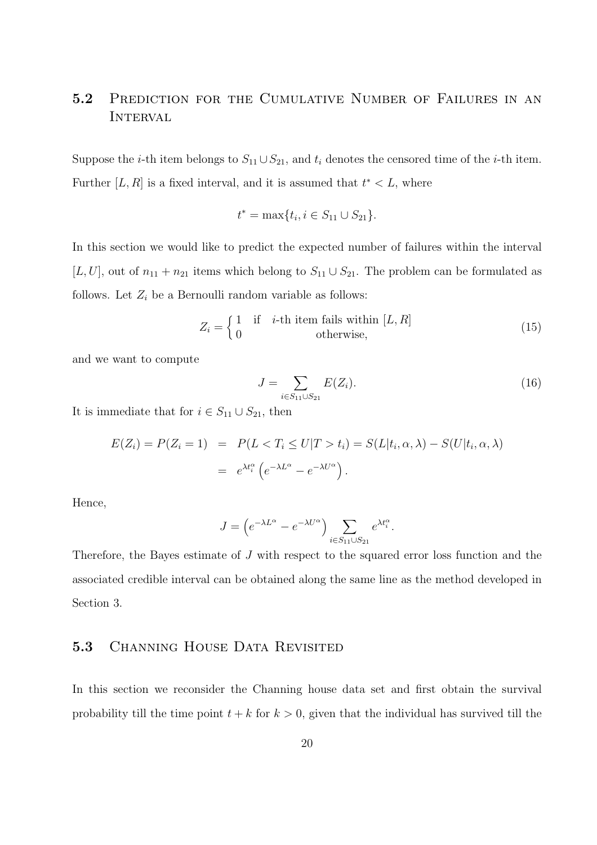# 5.2 PREDICTION FOR THE CUMULATIVE NUMBER OF FAILURES IN AN **INTERVAL**

Suppose the *i*-th item belongs to  $S_{11} \cup S_{21}$ , and  $t_i$  denotes the censored time of the *i*-th item. Further [L, R] is a fixed interval, and it is assumed that  $t^* < L$ , where

$$
t^* = \max\{t_i, i \in S_{11} \cup S_{21}\}.
$$

In this section we would like to predict the expected number of failures within the interval [L, U], out of  $n_{11} + n_{21}$  items which belong to  $S_{11} \cup S_{21}$ . The problem can be formulated as follows. Let  $Z_i$  be a Bernoulli random variable as follows:

$$
Z_i = \begin{cases} 1 & \text{if } i \text{-th item fails within } [L, R] \\ 0 & \text{otherwise,} \end{cases}
$$
 (15)

and we want to compute

$$
J = \sum_{i \in S_{11} \cup S_{21}} E(Z_i). \tag{16}
$$

It is immediate that for  $i \in S_{11} \cup S_{21}$ , then

$$
E(Z_i) = P(Z_i = 1) = P(L < T_i \le U | T > t_i) = S(L | t_i, \alpha, \lambda) - S(U | t_i, \alpha, \lambda)
$$

$$
= e^{\lambda t_i^{\alpha}} \left( e^{-\lambda L^{\alpha}} - e^{-\lambda U^{\alpha}} \right).
$$

Hence,

$$
J = \left( e^{-\lambda L^{\alpha}} - e^{-\lambda U^{\alpha}} \right) \sum_{i \in S_{11} \cup S_{21}} e^{\lambda t_i^{\alpha}}.
$$

Therefore, the Bayes estimate of J with respect to the squared error loss function and the associated credible interval can be obtained along the same line as the method developed in Section 3.

### 5.3 CHANNING HOUSE DATA REVISITED

In this section we reconsider the Channing house data set and first obtain the survival probability till the time point  $t + k$  for  $k > 0$ , given that the individual has survived till the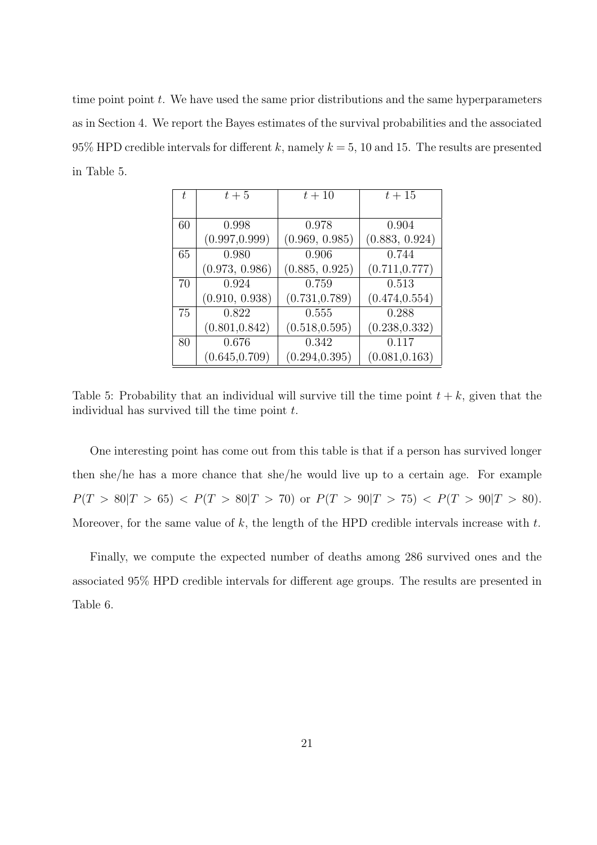time point point  $t$ . We have used the same prior distributions and the same hyperparameters as in Section 4. We report the Bayes estimates of the survival probabilities and the associated 95% HPD credible intervals for different k, namely  $k = 5$ , 10 and 15. The results are presented in Table 5.

| t. | $t+5$          | $t+10$         | $t+15$         |
|----|----------------|----------------|----------------|
|    |                |                |                |
| 60 | 0.998          | 0.978          | 0.904          |
|    | (0.997, 0.999) | (0.969, 0.985) | (0.883, 0.924) |
| 65 | 0.980          | 0.906          | 0.744          |
|    | (0.973, 0.986) | (0.885, 0.925) | (0.711, 0.777) |
| 70 | 0.924          | 0.759          | 0.513          |
|    | (0.910, 0.938) | (0.731, 0.789) | (0.474, 0.554) |
| 75 | 0.822          | 0.555          | 0.288          |
|    | (0.801, 0.842) | (0.518, 0.595) | (0.238, 0.332) |
| 80 | 0.676          | 0.342          | 0.117          |
|    | (0.645, 0.709) | (0.294, 0.395) | (0.081, 0.163) |

Table 5: Probability that an individual will survive till the time point  $t + k$ , given that the individual has survived till the time point  $t$ .

One interesting point has come out from this table is that if a person has survived longer then she/he has a more chance that she/he would live up to a certain age. For example  $P(T > 80|T > 65) < P(T > 80|T > 70)$  or  $P(T > 90|T > 75) < P(T > 90|T > 80)$ . Moreover, for the same value of  $k$ , the length of the HPD credible intervals increase with  $t$ .

Finally, we compute the expected number of deaths among 286 survived ones and the associated 95% HPD credible intervals for different age groups. The results are presented in Table 6.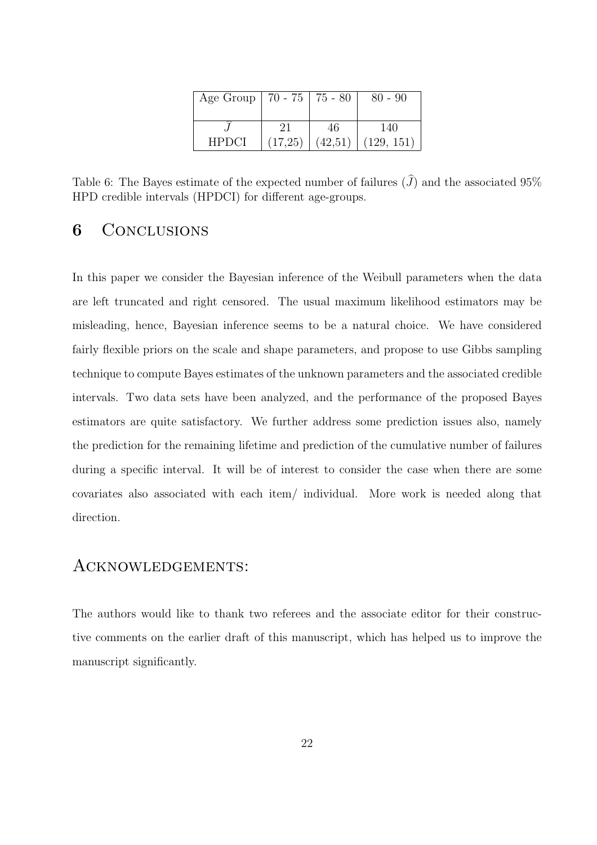| Age Group   70 - 75   75 - 80 |         |         | $80 - 90$  |
|-------------------------------|---------|---------|------------|
|                               | 21      | 46      | 140        |
| <b>HPDCI</b>                  | (17,25) | (42,51) | (129, 151) |

Table 6: The Bayes estimate of the expected number of failures  $(\widehat{J})$  and the associated 95% HPD credible intervals (HPDCI) for different age-groups.

### 6 Conclusions

In this paper we consider the Bayesian inference of the Weibull parameters when the data are left truncated and right censored. The usual maximum likelihood estimators may be misleading, hence, Bayesian inference seems to be a natural choice. We have considered fairly flexible priors on the scale and shape parameters, and propose to use Gibbs sampling technique to compute Bayes estimates of the unknown parameters and the associated credible intervals. Two data sets have been analyzed, and the performance of the proposed Bayes estimators are quite satisfactory. We further address some prediction issues also, namely the prediction for the remaining lifetime and prediction of the cumulative number of failures during a specific interval. It will be of interest to consider the case when there are some covariates also associated with each item/ individual. More work is needed along that direction.

### Acknowledgements:

The authors would like to thank two referees and the associate editor for their constructive comments on the earlier draft of this manuscript, which has helped us to improve the manuscript significantly.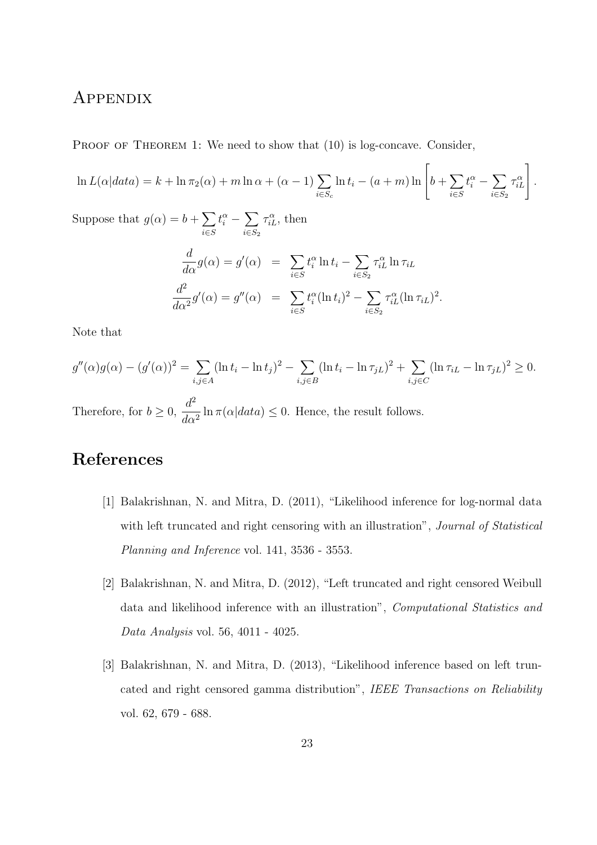# **APPENDIX**

PROOF OF THEOREM 1: We need to show that  $(10)$  is log-concave. Consider,

$$
\ln L(\alpha|data) = k + \ln \pi_2(\alpha) + m \ln \alpha + (\alpha - 1) \sum_{i \in S_c} \ln t_i - (a + m) \ln \left[ b + \sum_{i \in S} t_i^{\alpha} - \sum_{i \in S_2} \tau_{iL}^{\alpha} \right].
$$

Suppose that  $g(\alpha) = b + \sum$ i∈S  $t_i^\alpha-\sum$  $i \in S_2$  $\tau_{iL}^{\alpha}$ , then

$$
\frac{d}{d\alpha}g(\alpha) = g'(\alpha) = \sum_{i \in S} t_i^{\alpha} \ln t_i - \sum_{i \in S_2} \tau_{iL}^{\alpha} \ln \tau_{iL}
$$

$$
\frac{d^2}{d\alpha^2}g'(\alpha) = g''(\alpha) = \sum_{i \in S} t_i^{\alpha} (\ln t_i)^2 - \sum_{i \in S_2} \tau_{iL}^{\alpha} (\ln \tau_{iL})^2
$$

.

Note that

$$
g''(\alpha)g(\alpha) - (g'(\alpha))^2 = \sum_{i,j \in A} (\ln t_i - \ln t_j)^2 - \sum_{i,j \in B} (\ln t_i - \ln \tau_{jL})^2 + \sum_{i,j \in C} (\ln \tau_{iL} - \ln \tau_{jL})^2 \ge 0.
$$

Therefore, for  $b \geq 0$ ,  $d^2$  $\frac{d}{d\alpha^2} \ln \pi(\alpha|data) \leq 0$ . Hence, the result follows.

# References

- [1] Balakrishnan, N. and Mitra, D. (2011), "Likelihood inference for log-normal data with left truncated and right censoring with an illustration", *Journal of Statistical* Planning and Inference vol. 141, 3536 - 3553.
- [2] Balakrishnan, N. and Mitra, D. (2012), "Left truncated and right censored Weibull data and likelihood inference with an illustration", Computational Statistics and Data Analysis vol. 56, 4011 - 4025.
- [3] Balakrishnan, N. and Mitra, D. (2013), "Likelihood inference based on left truncated and right censored gamma distribution", IEEE Transactions on Reliability vol. 62, 679 - 688.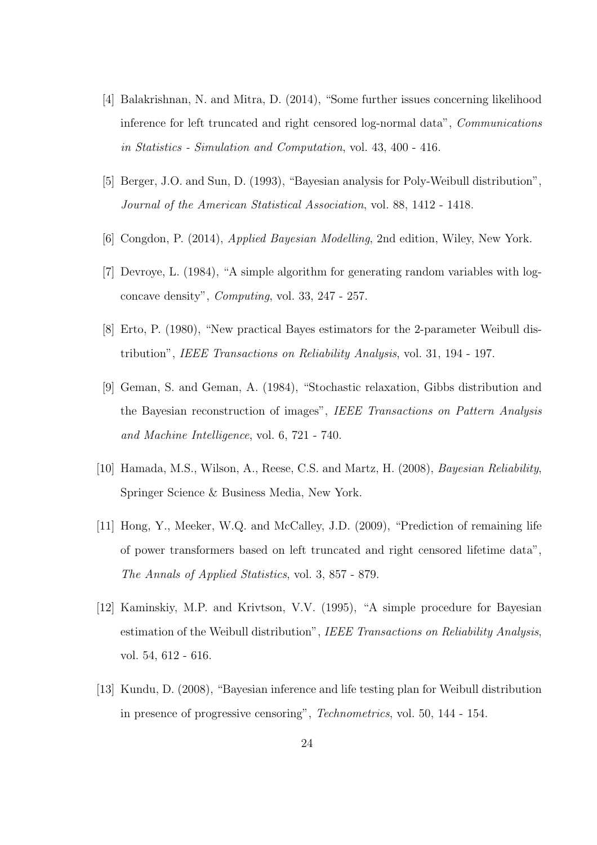- [4] Balakrishnan, N. and Mitra, D. (2014), "Some further issues concerning likelihood inference for left truncated and right censored log-normal data", Communications in Statistics - Simulation and Computation, vol. 43, 400 - 416.
- [5] Berger, J.O. and Sun, D. (1993), "Bayesian analysis for Poly-Weibull distribution", Journal of the American Statistical Association, vol. 88, 1412 - 1418.
- [6] Congdon, P. (2014), Applied Bayesian Modelling, 2nd edition, Wiley, New York.
- [7] Devroye, L. (1984), "A simple algorithm for generating random variables with logconcave density", Computing, vol. 33, 247 - 257.
- [8] Erto, P. (1980), "New practical Bayes estimators for the 2-parameter Weibull distribution", IEEE Transactions on Reliability Analysis, vol. 31, 194 - 197.
- [9] Geman, S. and Geman, A. (1984), "Stochastic relaxation, Gibbs distribution and the Bayesian reconstruction of images", IEEE Transactions on Pattern Analysis and Machine Intelligence, vol. 6, 721 - 740.
- [10] Hamada, M.S., Wilson, A., Reese, C.S. and Martz, H. (2008), Bayesian Reliability, Springer Science & Business Media, New York.
- [11] Hong, Y., Meeker, W.Q. and McCalley, J.D. (2009), "Prediction of remaining life of power transformers based on left truncated and right censored lifetime data", The Annals of Applied Statistics, vol. 3, 857 - 879.
- [12] Kaminskiy, M.P. and Krivtson, V.V. (1995), "A simple procedure for Bayesian estimation of the Weibull distribution", IEEE Transactions on Reliability Analysis, vol. 54, 612 - 616.
- [13] Kundu, D. (2008), "Bayesian inference and life testing plan for Weibull distribution in presence of progressive censoring", Technometrics, vol. 50, 144 - 154.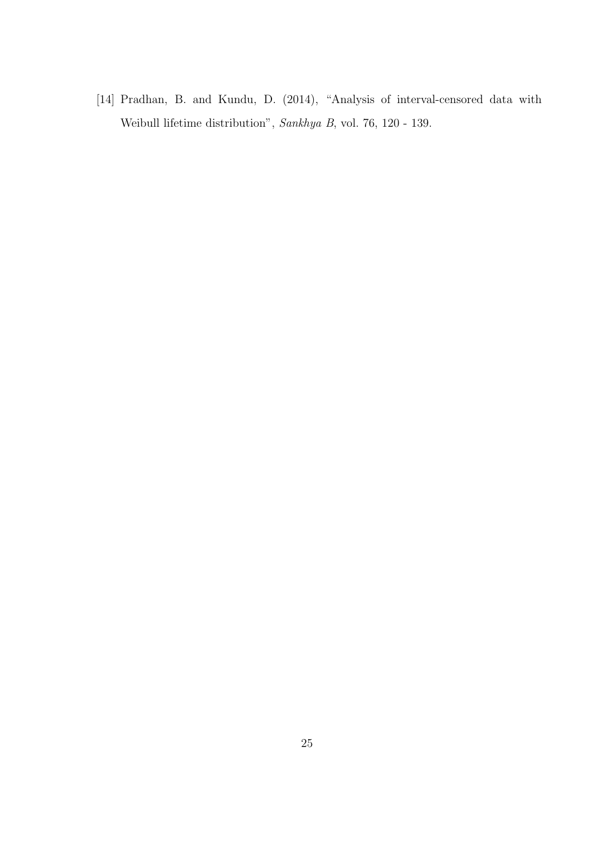[14] Pradhan, B. and Kundu, D. (2014), "Analysis of interval-censored data with Weibull lifetime distribution", Sankhya B, vol. 76, 120 - 139.